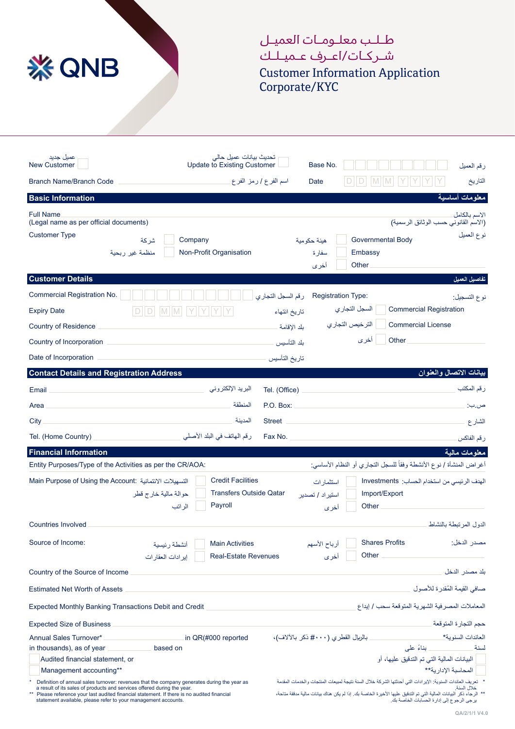

## طـلـب معلـومـات العميـل شـر كـات/اعـرف عـميـلـك Customer Information Application Corporate/KYC

الاسم بالكامل (الاسم القانوني حسب الوثائق الرسمیة) شركة نوع العمیل منظمة غیر ربحیة Full Name (Legal name as per official documents) Customer Type Company Non-Profit Organisation **معلومات أساسیة Information Basic Financial Information** رقم العمیل Branch Name/Branch Code New Customer **New Customer** Base No. ھیئة حكومیة سفارة أخرى Governmental Body Embassy **Other** اسم الفرع / رمز الفرع تحدیث بیانات عمیل حالي عمیل جدید  $D || D || M || M || Y || Y || Y$ **معلومات مالیة** Date Entity Purposes/Type of the Activities as per the CR/AOA: Main Purpose of Using the Account: التسھیلات الائتمانیة Countries Involved Source of Income: أغراض المنشأة / نوع الأنشطة وفقاً للسجل التجاري أو النظام الأساسي: الھدف الرئیسي من استخدام الحساب: Investments الدول المرتبطة بالنشاط مصدر الدخل: Credit Facilities Transfers Outside Qatar Payroll حوالة مالیة خارج قطر الراتب Main Activities Real-Estate Revenues أنشطة رئیسیة إیرادات العقارات Shares Profits **Other** أرباح الأسھم أخرى Import/Export **Other** استثمارات استیراد / تصدیر أخرى Country of the Source of Income Estimated Net Worth of Assets Expected Monthly Banking Transactions Debit and Credit Expected Size of Business بلد مصدر الدخل ُ صافي القیمة المقدرة للأصول المعاملات المصرفیة الشھریة المتوقعة سحب / إیداع حجم التجارة المتوقعة التاریخ Annual Sales Turnover\* in QR(#000 reported in thousands), as of year **based** on Audited financial statement, or Management accounting\*\* العائدات السنویة\* بالریال القطري (#۰۰۰ ذكر بالآلاف)، لسنة ً بناء على البیانات المالیة التي تم التدقیق علیھا، أو المحاسبة الإداریة\*\* \* Definition of annual sales turnover: revenues that the company generates during the year as<br>a result of its sales of products and services offered during the year.<br>\*\* Please reference your last audited financial stateme statement available, please refer to your management accounts. \* تعریف العائدات السنویة: الإیرادات التي أحدثتھا الشركة خلال السنة نتیجة لمبیعات المنتجات والخدمات المقدمة خلال السنة. \*\* الرجاء ذكر البیانات المالیة التي تم التدقیق علیھا الأخیرة الخاصة بك. إذا لم یكن ھناك بیانات مالیة مدققة متاحة، یرجى الرجوع إلى إدارة الحسابات الخاصة بك. **Contact Details and Registration Address والعنوان الاتصال بیانات** Tel. (Office) P.O. Box: Street Fax No. البرید الإلكتروني المنطقة المدینة رقم الھاتف في البلد الأصلي Email Area **City** Tel. (Home Country) رقم المكتب ص.ب: الشارع رقم الفاكس  $D/D \boxed{M} \boxed{M} \boxed{Y} \boxed{Y} \boxed{Y} \boxed{Y}$ **تفاصیل العمیل Details Customer** Commercial Registration No. Expiry Date Country of Residence Country of Incorporation Date of Incorporation رقم السجل التجاري Registration Type: تاریخ انتھاء بلد الإقامة بلد التأسیس تاریخ التأسیس Commercial Registration Commercial License **Other** نوع التسجیل: السجل التجاري الترخیص التجاري أخرى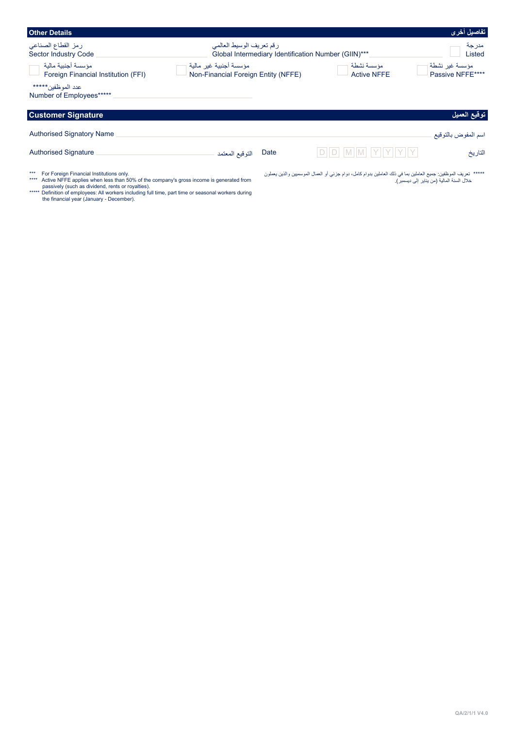| <b>Other Details</b>                                                                                                                                                                                     |                                                                                 |      |                                                                                                                  | تفاصيل أخرى                                 |
|----------------------------------------------------------------------------------------------------------------------------------------------------------------------------------------------------------|---------------------------------------------------------------------------------|------|------------------------------------------------------------------------------------------------------------------|---------------------------------------------|
| رمز القطاع الصناعي<br>Sector Industry Code                                                                                                                                                               | رقم تعريف الوسيط العالمي<br>Global Intermediary Identification Number (GIIN)*** |      |                                                                                                                  | مدرجة<br>Listed                             |
| مؤسسة أجنببة مالبة<br>Foreign Financial Institution (FFI)                                                                                                                                                | مؤسسة أجنبية غبر مالية<br>Non-Financial Foreign Entity (NFFE)                   |      | مؤسسة نشطة<br><b>Active NFFE</b>                                                                                 | مؤسسة غير نشطة<br>Passive NFFE****          |
| عدد الموظفين*****<br>Number of Employees*****                                                                                                                                                            |                                                                                 |      |                                                                                                                  |                                             |
| <b>Customer Signature</b>                                                                                                                                                                                |                                                                                 |      |                                                                                                                  | توقيع العميل                                |
| <b>Authorised Signatory Name</b>                                                                                                                                                                         |                                                                                 |      |                                                                                                                  | اسم المفوض بالتوقيع                         |
| <b>Authorised Signature</b>                                                                                                                                                                              | التوقيع المعتمد                                                                 | Date | D  D  M  M  Y  Y  Y  Y  Y                                                                                        | التاريخ                                     |
| $***$<br>For Foreign Financial Institutions only.<br>Active NFFE applies when less than 50% of the company's gross income is generated from<br>****<br>passively (such as dividend, rents or royalties). |                                                                                 |      | *****  تعريف الموظفين: جميع العاملين بما في ذلك العاملين بدوام كامل، دوام جزئي أو العمال الموسميين والذين يعملون | خلال السنة المالية (من يناير  إلى ديسمبر ). |

passively (such as dividend, rents or royalties).<br>\*\*\*\*\* Definition of employees: All workers including full time, part time or seasonal workers during<br>the financial year (January - December).